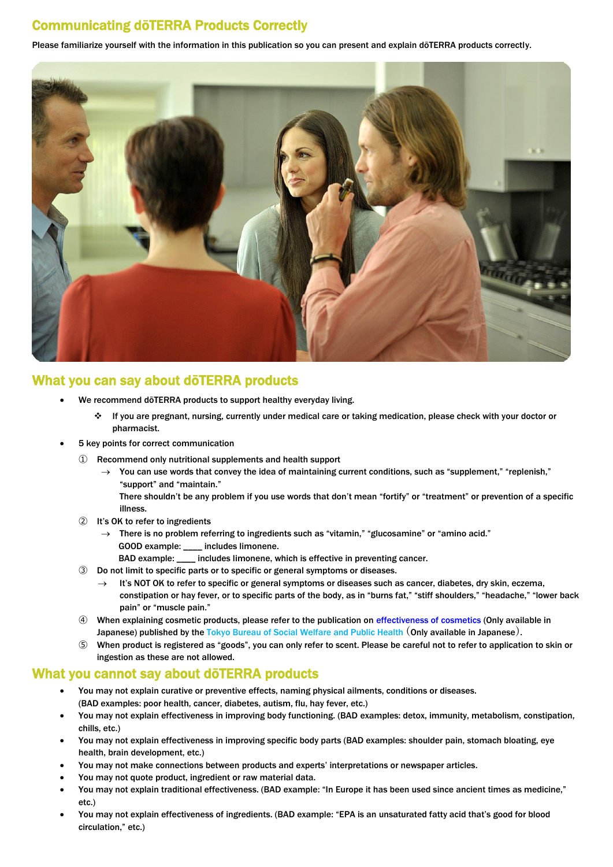## Communicating dōTERRA Products Correctly

Please familiarize yourself with the information in this publication so you can present and explain dōTERRA products correctly.



## What you can say about dōTERRA products

- We recommend dōTERRA products to support healthy everyday living.
	- If you are pregnant, nursing, currently under medical care or taking medication, please check with your doctor or pharmacist.
- 5 key points for correct communication
	- ① Recommend only nutritional supplements and health support
		- You can use words that convey the idea of maintaining current conditions, such as "supplement," "replenish," "support" and "maintain."
			- There shouldn't be any problem if you use words that don't mean "fortify" or "treatment" or prevention of a specific illness.
	- ② It's OK to refer to ingredients
		- $\rightarrow$  There is no problem referring to ingredients such as "vitamin," "glucosamine" or "amino acid." GOOD example: \_\_\_\_ includes limonene.
		- BAD example: \_\_\_\_ includes limonene, which is effective in preventing cancer.
	- ③ Do not limit to specific parts or to specific or general symptoms or diseases.
		- It's NOT OK to refer to specific or general symptoms or diseases such as cancer, diabetes, dry skin, eczema, constipation or hay fever, or to specific parts of the body, as in "burns fat," "stiff shoulders," "headache," "lower back pain" or "muscle pain."
	- ④ When explaining cosmetic products, please refer to the publication on [effectiveness of cosmetics](http://www.fukushihoken.metro.tokyo.jp/kenkou/iyaku/sonota/koukoku/iya_cos_ki/kijun/kono.html) (Only available in Japanese) published by the [Tokyo Bureau of Social Welfare and Public Health](http://www.fukushihoken.metro.tokyo.jp/) (Only available in Japanese).
	- When product is registered as "goods", you can only refer to scent. Please be careful not to refer to application to skin or ingestion as these are not allowed.

## What you cannot say about dōTERRA products

- You may not explain curative or preventive effects, naming physical ailments, conditions or diseases. (BAD examples: poor health, cancer, diabetes, autism, flu, hay fever, etc.)
- You may not explain effectiveness in improving body functioning. (BAD examples: detox, immunity, metabolism, constipation, chills, etc.)
- You may not explain effectiveness in improving specific body parts (BAD examples: shoulder pain, stomach bloating, eye health, brain development, etc.)
- You may not make connections between products and experts' interpretations or newspaper articles.
- You may not quote product, ingredient or raw material data.
- You may not explain traditional effectiveness. (BAD example: "In Europe it has been used since ancient times as medicine," etc.)
- You may not explain effectiveness of ingredients. (BAD example: "EPA is an unsaturated fatty acid that's good for blood circulation," etc.)